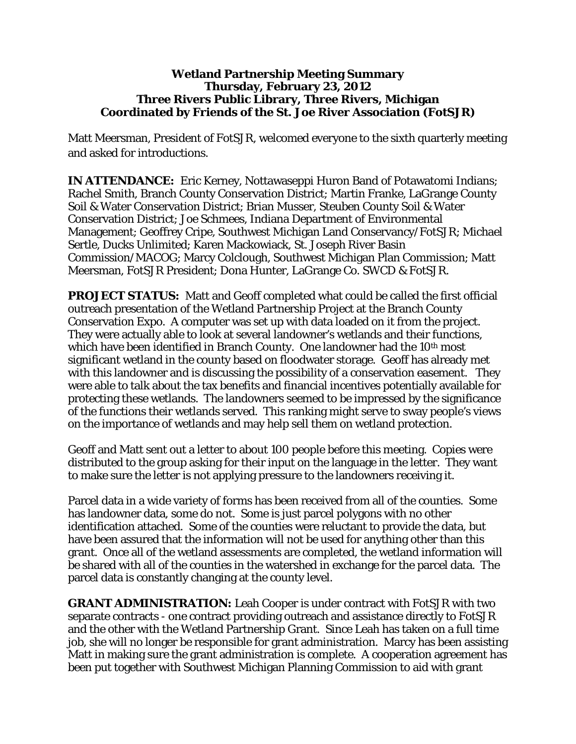## **Wetland Partnership Meeting Summary Thursday, February 23, 2012 Three Rivers Public Library, Three Rivers, Michigan Coordinated by Friends of the St. Joe River Association (FotSJR)**

Matt Meersman, President of FotSJR, welcomed everyone to the sixth quarterly meeting and asked for introductions.

**IN ATTENDANCE:** Eric Kerney, Nottawaseppi Huron Band of Potawatomi Indians; Rachel Smith, Branch County Conservation District; Martin Franke, LaGrange County Soil & Water Conservation District; Brian Musser, Steuben County Soil & Water Conservation District; Joe Schmees, Indiana Department of Environmental Management; Geoffrey Cripe, Southwest Michigan Land Conservancy/FotSJR; Michael Sertle, Ducks Unlimited; Karen Mackowiack, St. Joseph River Basin Commission/MACOG; Marcy Colclough, Southwest Michigan Plan Commission; Matt Meersman, FotSJR President; Dona Hunter, LaGrange Co. SWCD & FotSJR.

**PROJECT STATUS:** Matt and Geoff completed what could be called the first official outreach presentation of the Wetland Partnership Project at the Branch County Conservation Expo. A computer was set up with data loaded on it from the project. They were actually able to look at several landowner's wetlands and their functions, which have been identified in Branch County. One landowner had the 10<sup>th</sup> most significant wetland in the county based on floodwater storage. Geoff has already met with this landowner and is discussing the possibility of a conservation easement. They were able to talk about the tax benefits and financial incentives potentially available for protecting these wetlands. The landowners seemed to be impressed by the significance of the functions their wetlands served. This ranking might serve to sway people's views on the importance of wetlands and may help sell them on wetland protection.

Geoff and Matt sent out a letter to about 100 people before this meeting. Copies were distributed to the group asking for their input on the language in the letter. They want to make sure the letter is not applying pressure to the landowners receiving it.

Parcel data in a wide variety of forms has been received from all of the counties. Some has landowner data, some do not. Some is just parcel polygons with no other identification attached. Some of the counties were reluctant to provide the data, but have been assured that the information will not be used for anything other than this grant. Once all of the wetland assessments are completed, the wetland information will be shared with all of the counties in the watershed in exchange for the parcel data. The parcel data is constantly changing at the county level.

**GRANT ADMINISTRATION:** Leah Cooper is under contract with FotSJR with two separate contracts - one contract providing outreach and assistance directly to FotSJR and the other with the Wetland Partnership Grant. Since Leah has taken on a full time job, she will no longer be responsible for grant administration. Marcy has been assisting Matt in making sure the grant administration is complete. A cooperation agreement has been put together with Southwest Michigan Planning Commission to aid with grant